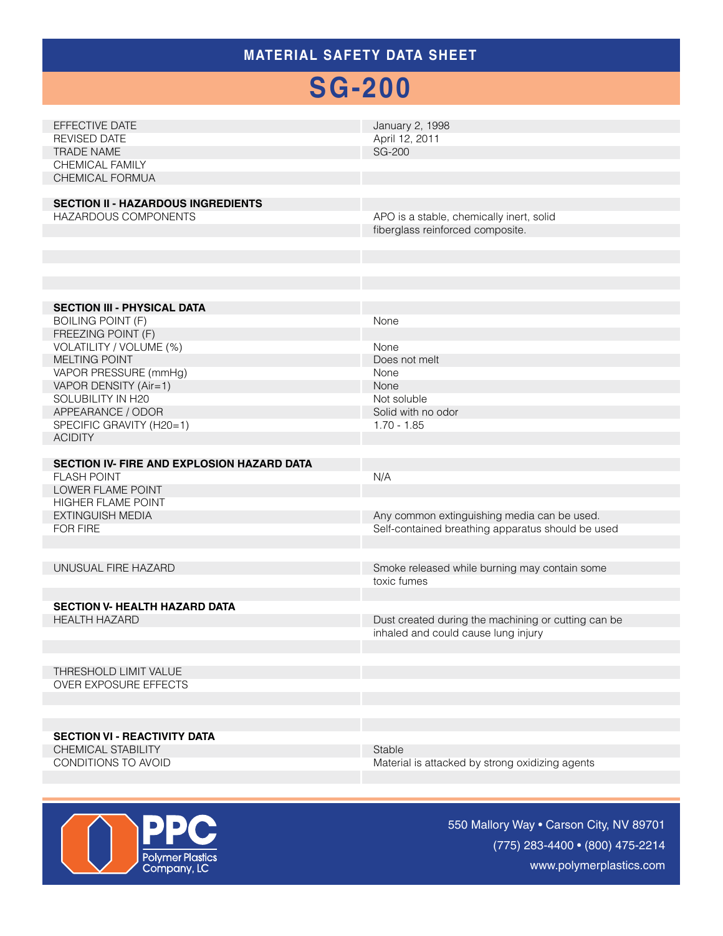### **MATERIAL SAFETY Data Sheet**

# **SG-200**

| EFFECTIVE DATE<br><b>REVISED DATE</b><br><b>TRADE NAME</b><br>CHEMICAL FAMILY<br>CHEMICAL FORMUA<br><b>SECTION II - HAZARDOUS INGREDIENTS</b>                                                                                                                                     | January 2, 1998<br>April 12, 2011<br><b>SG-200</b>                                                                  |
|-----------------------------------------------------------------------------------------------------------------------------------------------------------------------------------------------------------------------------------------------------------------------------------|---------------------------------------------------------------------------------------------------------------------|
| HAZARDOUS COMPONENTS                                                                                                                                                                                                                                                              | APO is a stable, chemically inert, solid<br>fiberglass reinforced composite.                                        |
| <b>SECTION III - PHYSICAL DATA</b><br><b>BOILING POINT (F)</b><br>FREEZING POINT (F)<br>VOLATILITY / VOLUME (%)<br><b>MELTING POINT</b><br>VAPOR PRESSURE (mmHg)<br>VAPOR DENSITY (Air=1)<br>SOLUBILITY IN H20<br>APPEARANCE / ODOR<br>SPECIFIC GRAVITY (H20=1)<br><b>ACIDITY</b> | None<br>None<br>Does not melt<br>None<br>None<br>Not soluble<br>Solid with no odor<br>$1.70 - 1.85$                 |
| SECTION IV- FIRE AND EXPLOSION HAZARD DATA<br><b>FLASH POINT</b><br>LOWER FLAME POINT<br><b>HIGHER FLAME POINT</b><br><b>EXTINGUISH MEDIA</b><br>FOR FIRE                                                                                                                         | N/A<br>Any common extinguishing media can be used.<br>Self-contained breathing apparatus should be used             |
| UNUSUAL FIRE HAZARD<br><b>SECTION V- HEALTH HAZARD DATA</b><br><b>HEALTH HAZARD</b>                                                                                                                                                                                               | Smoke released while burning may contain some<br>toxic fumes<br>Dust created during the machining or cutting can be |
| THRESHOLD LIMIT VALUE<br>OVER EXPOSURE EFFECTS                                                                                                                                                                                                                                    | inhaled and could cause lung injury                                                                                 |
| <b>SECTION VI - REACTIVITY DATA</b><br><b>CHEMICAL STABILITY</b><br>CONDITIONS TO AVOID                                                                                                                                                                                           | Stable<br>Material is attacked by strong oxidizing agents                                                           |



550 Mallory Way • Carson City, NV 89701 (775) 283-4400 • (800) 475-2214 www.polymerplastics.com